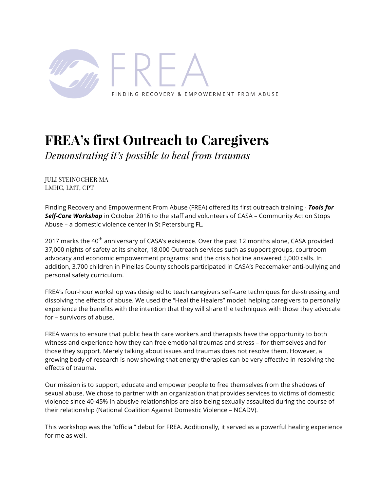

# **FREA's first Outreach to Caregivers**

*Demonstrating it's possible to heal from traumas*

JULI STEINOCHER MA LMHC, LMT, CPT

Finding Recovery and Empowerment From Abuse (FREA) offered its first outreach training - *Tools for Self-Care Workshop* in October 2016 to the staff and volunteers of CASA – Community Action Stops Abuse – a domestic violence center in St Petersburg FL.

2017 marks the 40<sup>th</sup> anniversary of CASA's existence. Over the past 12 months alone, CASA provided 37,000 nights of safety at its shelter, 18,000 Outreach services such as support groups, courtroom advocacy and economic empowerment programs: and the crisis hotline answered 5,000 calls. In addition, 3,700 children in Pinellas County schools participated in CASA's Peacemaker anti-bullying and personal safety curriculum.

FREA's four-hour workshop was designed to teach caregivers self-care techniques for de-stressing and dissolving the effects of abuse. We used the "Heal the Healers" model: helping caregivers to personally experience the benefits with the intention that they will share the techniques with those they advocate for – survivors of abuse.

FREA wants to ensure that public health care workers and therapists have the opportunity to both witness and experience how they can free emotional traumas and stress – for themselves and for those they support. Merely talking about issues and traumas does not resolve them. However, a growing body of research is now showing that energy therapies can be very effective in resolving the effects of trauma.

Our mission is to support, educate and empower people to free themselves from the shadows of sexual abuse. We chose to partner with an organization that provides services to victims of domestic violence since 40-45% in abusive relationships are also being sexually assaulted during the course of their relationship (National Coalition Against Domestic Violence – NCADV).

This workshop was the "official" debut for FREA. Additionally, it served as a powerful healing experience for me as well.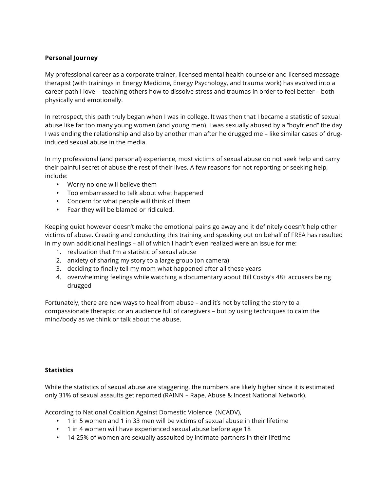# **Personal Journey**

My professional career as a corporate trainer, licensed mental health counselor and licensed massage therapist (with trainings in Energy Medicine, Energy Psychology, and trauma work) has evolved into a career path I love -- teaching others how to dissolve stress and traumas in order to feel better – both physically and emotionally.

In retrospect, this path truly began when I was in college. It was then that I became a statistic of sexual abuse like far too many young women (and young men). I was sexually abused by a "boyfriend" the day I was ending the relationship and also by another man after he drugged me – like similar cases of druginduced sexual abuse in the media.

In my professional (and personal) experience, most victims of sexual abuse do not seek help and carry their painful secret of abuse the rest of their lives. A few reasons for not reporting or seeking help, include:

- Worry no one will believe them
- Too embarrassed to talk about what happened
- Concern for what people will think of them
- Fear they will be blamed or ridiculed.

Keeping quiet however doesn't make the emotional pains go away and it definitely doesn't help other victims of abuse. Creating and conducting this training and speaking out on behalf of FREA has resulted in my own additional healings – all of which I hadn't even realized were an issue for me:

- 1. realization that I'm a statistic of sexual abuse
- 2. anxiety of sharing my story to a large group (on camera)
- 3. deciding to finally tell my mom what happened after all these years
- 4. overwhelming feelings while watching a documentary about Bill Cosby's 48+ accusers being drugged

Fortunately, there are new ways to heal from abuse – and it's not by telling the story to a compassionate therapist or an audience full of caregivers – but by using techniques to calm the mind/body as we think or talk about the abuse.

# **Statistics**

While the statistics of sexual abuse are staggering, the numbers are likely higher since it is estimated only 31% of sexual assaults get reported (RAINN – Rape, Abuse & Incest National Network).

According to National Coalition Against Domestic Violence (NCADV),

- 1 in 5 women and 1 in 33 men will be victims of sexual abuse in their lifetime
- 1 in 4 women will have experienced sexual abuse before age 18
- 14-25% of women are sexually assaulted by intimate partners in their lifetime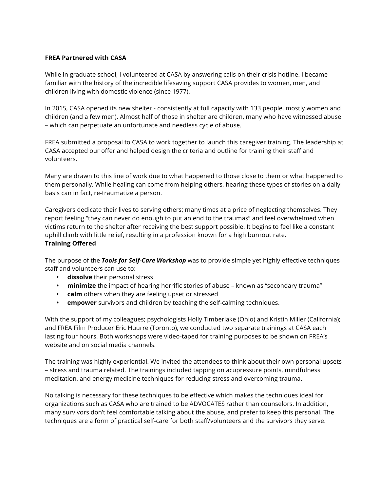## **FREA Partnered with CASA**

While in graduate school, I volunteered at CASA by answering calls on their crisis hotline. I became familiar with the history of the incredible lifesaving support CASA provides to women, men, and children living with domestic violence (since 1977).

In 2015, CASA opened its new shelter - consistently at full capacity with 133 people, mostly women and children (and a few men). Almost half of those in shelter are children, many who have witnessed abuse – which can perpetuate an unfortunate and needless cycle of abuse.

FREA submitted a proposal to CASA to work together to launch this caregiver training. The leadership at CASA accepted our offer and helped design the criteria and outline for training their staff and volunteers.

Many are drawn to this line of work due to what happened to those close to them or what happened to them personally. While healing can come from helping others, hearing these types of stories on a daily basis can in fact, re-traumatize a person.

Caregivers dedicate their lives to serving others; many times at a price of neglecting themselves. They report feeling "they can never do enough to put an end to the traumas" and feel overwhelmed when victims return to the shelter after receiving the best support possible. It begins to feel like a constant uphill climb with little relief, resulting in a profession known for a high burnout rate. **Training Offered**

The purpose of the *Tools for Self-Care Workshop* was to provide simple yet highly effective techniques staff and volunteers can use to:

- **dissolve** their personal stress
- **minimize** the impact of hearing horrific stories of abuse known as "secondary trauma"
- **calm** others when they are feeling upset or stressed
- **empower** survivors and children by teaching the self-calming techniques.

With the support of my colleagues; psychologists Holly Timberlake (Ohio) and Kristin Miller (California); and FREA Film Producer Eric Huurre (Toronto), we conducted two separate trainings at CASA each lasting four hours. Both workshops were video-taped for training purposes to be shown on FREA's website and on social media channels.

The training was highly experiential. We invited the attendees to think about their own personal upsets – stress and trauma related. The trainings included tapping on acupressure points, mindfulness meditation, and energy medicine techniques for reducing stress and overcoming trauma.

No talking is necessary for these techniques to be effective which makes the techniques ideal for organizations such as CASA who are trained to be ADVOCATES rather than counselors. In addition, many survivors don't feel comfortable talking about the abuse, and prefer to keep this personal. The techniques are a form of practical self-care for both staff/volunteers and the survivors they serve.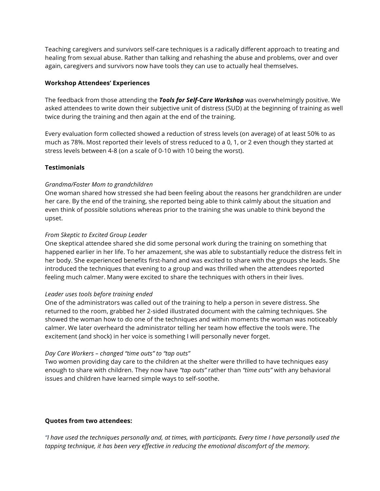Teaching caregivers and survivors self-care techniques is a radically different approach to treating and healing from sexual abuse. Rather than talking and rehashing the abuse and problems, over and over again, caregivers and survivors now have tools they can use to actually heal themselves.

#### **Workshop Attendees' Experiences**

The feedback from those attending the *Tools for Self-Care Workshop* was overwhelmingly positive. We asked attendees to write down their subjective unit of distress (SUD) at the beginning of training as well twice during the training and then again at the end of the training.

Every evaluation form collected showed a reduction of stress levels (on average) of at least 50% to as much as 78%. Most reported their levels of stress reduced to a 0, 1, or 2 even though they started at stress levels between 4-8 (on a scale of 0-10 with 10 being the worst).

## **Testimonials**

## *Grandma/Foster Mom to grandchildren*

One woman shared how stressed she had been feeling about the reasons her grandchildren are under her care. By the end of the training, she reported being able to think calmly about the situation and even think of possible solutions whereas prior to the training she was unable to think beyond the upset.

## *From Skeptic to Excited Group Leader*

One skeptical attendee shared she did some personal work during the training on something that happened earlier in her life. To her amazement, she was able to substantially reduce the distress felt in her body. She experienced benefits first-hand and was excited to share with the groups she leads. She introduced the techniques that evening to a group and was thrilled when the attendees reported feeling much calmer. Many were excited to share the techniques with others in their lives.

## *Leader uses tools before training ended*

One of the administrators was called out of the training to help a person in severe distress. She returned to the room, grabbed her 2-sided illustrated document with the calming techniques. She showed the woman how to do one of the techniques and within moments the woman was noticeably calmer. We later overheard the administrator telling her team how effective the tools were. The excitement (and shock) in her voice is something I will personally never forget.

## *Day Care Workers – changed "time outs" to "tap outs"*

Two women providing day care to the children at the shelter were thrilled to have techniques easy enough to share with children. They now have *"tap outs"* rather than *"time outs"* with any behavioral issues and children have learned simple ways to self-soothe.

## **Quotes from two attendees:**

*"I have used the techniques personally and, at times, with participants. Every time I have personally used the tapping technique, it has been very effective in reducing the emotional discomfort of the memory.*